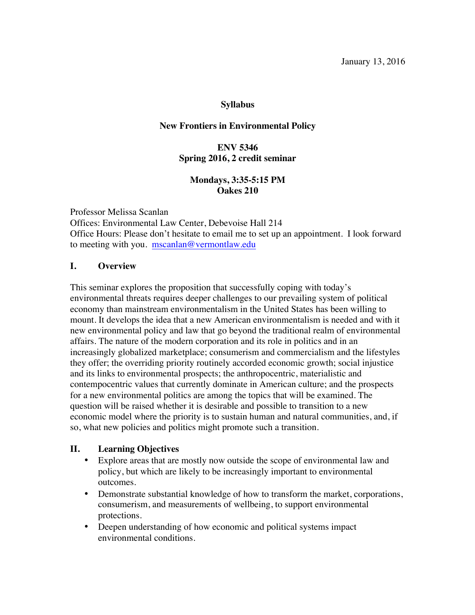#### **Syllabus**

#### **New Frontiers in Environmental Policy**

## **ENV 5346 Spring 2016, 2 credit seminar**

## **Mondays, 3:35-5:15 PM Oakes 210**

Professor Melissa Scanlan Offices: Environmental Law Center, Debevoise Hall 214 Office Hours: Please don't hesitate to email me to set up an appointment. I look forward to meeting with you. mscanlan@vermontlaw.edu

#### **I. Overview**

This seminar explores the proposition that successfully coping with today's environmental threats requires deeper challenges to our prevailing system of political economy than mainstream environmentalism in the United States has been willing to mount. It develops the idea that a new American environmentalism is needed and with it new environmental policy and law that go beyond the traditional realm of environmental affairs. The nature of the modern corporation and its role in politics and in an increasingly globalized marketplace; consumerism and commercialism and the lifestyles they offer; the overriding priority routinely accorded economic growth; social injustice and its links to environmental prospects; the anthropocentric, materialistic and contempocentric values that currently dominate in American culture; and the prospects for a new environmental politics are among the topics that will be examined. The question will be raised whether it is desirable and possible to transition to a new economic model where the priority is to sustain human and natural communities, and, if so, what new policies and politics might promote such a transition.

## **II. Learning Objectives**

- Explore areas that are mostly now outside the scope of environmental law and policy, but which are likely to be increasingly important to environmental outcomes.
- Demonstrate substantial knowledge of how to transform the market, corporations, consumerism, and measurements of wellbeing, to support environmental protections.
- Deepen understanding of how economic and political systems impact environmental conditions.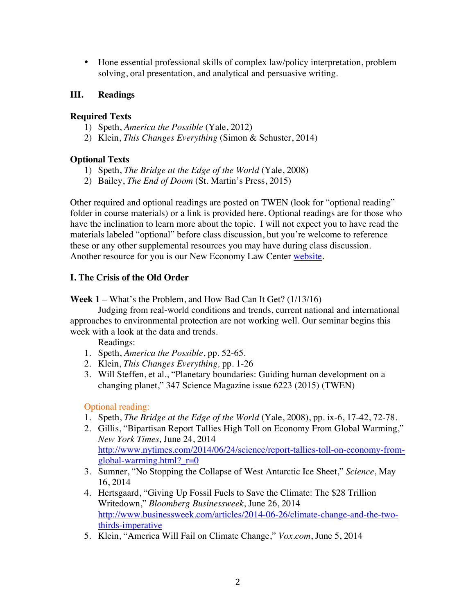• Hone essential professional skills of complex law/policy interpretation, problem solving, oral presentation, and analytical and persuasive writing.

## **III. Readings**

## **Required Texts**

- 1) Speth, *America the Possible* (Yale, 2012)
- 2) Klein, *This Changes Everything* (Simon & Schuster, 2014)

## **Optional Texts**

- 1) Speth, *The Bridge at the Edge of the World* (Yale, 2008)
- 2) Bailey, *The End of Doom* (St. Martin's Press, 2015)

Other required and optional readings are posted on TWEN (look for "optional reading" folder in course materials) or a link is provided here. Optional readings are for those who have the inclination to learn more about the topic. I will not expect you to have read the materials labeled "optional" before class discussion, but you're welcome to reference these or any other supplemental resources you may have during class discussion. Another resource for you is our New Economy Law Center website.

# **I. The Crisis of the Old Order**

**Week 1** – What's the Problem, and How Bad Can It Get? (1/13/16)

Judging from real-world conditions and trends, current national and international approaches to environmental protection are not working well. Our seminar begins this week with a look at the data and trends.

Readings:

- 1. Speth, *America the Possible*, pp. 52-65.
- 2. Klein, *This Changes Everything,* pp. 1-26
- 3. Will Steffen, et al., "Planetary boundaries: Guiding human development on a changing planet," 347 Science Magazine issue 6223 (2015) (TWEN)

- 1. Speth, *The Bridge at the Edge of the World* (Yale, 2008), pp. ix-6, 17-42, 72-78.
- 2. Gillis, "Bipartisan Report Tallies High Toll on Economy From Global Warming," *New York Times,* June 24, 2014 http://www.nytimes.com/2014/06/24/science/report-tallies-toll-on-economy-fromglobal-warming.html?  $r=0$
- 3. Sumner, "No Stopping the Collapse of West Antarctic Ice Sheet," *Science*, May 16, 2014
- 4. Hertsgaard, "Giving Up Fossil Fuels to Save the Climate: The \$28 Trillion Writedown," *Bloomberg Businessweek*, June 26, 2014 http://www.businessweek.com/articles/2014-06-26/climate-change-and-the-twothirds-imperative
- 5. Klein, "America Will Fail on Climate Change," *Vox.com*, June 5, 2014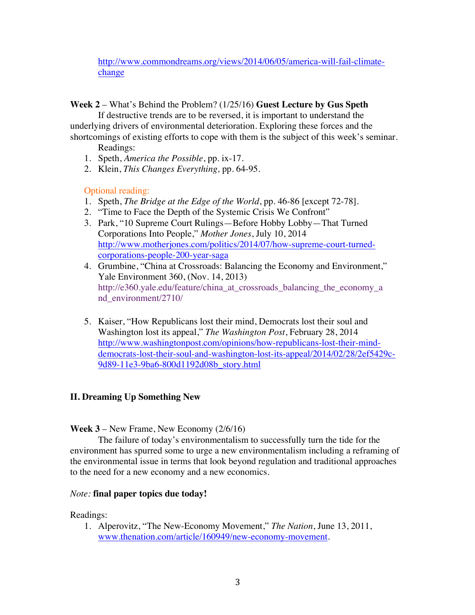http://www.commondreams.org/views/2014/06/05/america-will-fail-climatechange

**Week 2** – What's Behind the Problem? (1/25/16) **Guest Lecture by Gus Speth**

If destructive trends are to be reversed, it is important to understand the underlying drivers of environmental deterioration. Exploring these forces and the shortcomings of existing efforts to cope with them is the subject of this week's seminar.

Readings:

- 1. Speth, *America the Possible*, pp. ix-17.
- 2. Klein, *This Changes Everything,* pp. 64-95.

## Optional reading:

- 1. Speth, *The Bridge at the Edge of the World*, pp. 46-86 [except 72-78]*.*
- 2. "Time to Face the Depth of the Systemic Crisis We Confront"
- 3. Park, "10 Supreme Court Rulings—Before Hobby Lobby—That Turned Corporations Into People," *Mother Jones*, July 10, 2014 http://www.motherjones.com/politics/2014/07/how-supreme-court-turnedcorporations-people-200-year-saga
- 4. Grumbine, "China at Crossroads: Balancing the Economy and Environment," Yale Environment 360, (Nov. 14, 2013) http://e360.yale.edu/feature/china\_at\_crossroads\_balancing\_the\_economy\_a nd\_environment/2710/
- 5. Kaiser, "How Republicans lost their mind, Democrats lost their soul and Washington lost its appeal," *The Washington Post*, February 28, 2014 http://www.washingtonpost.com/opinions/how-republicans-lost-their-minddemocrats-lost-their-soul-and-washington-lost-its-appeal/2014/02/28/2ef5429c-9d89-11e3-9ba6-800d1192d08b\_story.html

# **II. Dreaming Up Something New**

#### **Week 3** – New Frame, New Economy (2/6/16)

The failure of today's environmentalism to successfully turn the tide for the environment has spurred some to urge a new environmentalism including a reframing of the environmental issue in terms that look beyond regulation and traditional approaches to the need for a new economy and a new economics.

## *Note:* **final paper topics due today!**

Readings:

1. Alperovitz, "The New-Economy Movement," *The Nation*, June 13, 2011, www.thenation.com/article/160949/new-economy-movement.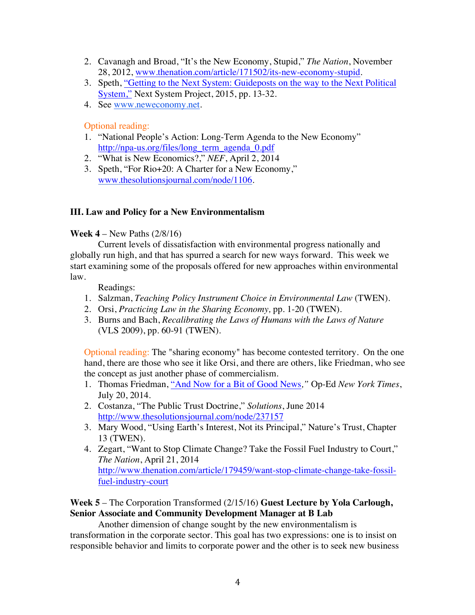- 2. Cavanagh and Broad, "It's the New Economy, Stupid," *The Nation*, November 28, 2012, www.thenation.com/article/171502/its-new-economy-stupid.
- 3. Speth, "Getting to the Next System: Guideposts on the way to the Next Political System," Next System Project, 2015, pp. 13-32.
- 4. See www.neweconomy.net.

Optional reading:

- 1. "National People's Action: Long-Term Agenda to the New Economy" http://npa-us.org/files/long\_term\_agenda\_0.pdf
- 2. "What is New Economics?," *NEF*, April 2, 2014
- 3. Speth, "For Rio+20: A Charter for a New Economy," www.thesolutionsjournal.com/node/1106.

#### **III. Law and Policy for a New Environmentalism**

#### **Week 4** – New Paths (2/8/16)

Current levels of dissatisfaction with environmental progress nationally and globally run high, and that has spurred a search for new ways forward. This week we start examining some of the proposals offered for new approaches within environmental law.

Readings:

- 1. Salzman, *Teaching Policy Instrument Choice in Environmental Law* (TWEN).
- 2. Orsi, *Practicing Law in the Sharing Economy,* pp. 1-20 (TWEN).
- 3. Burns and Bach, *Recalibrating the Laws of Humans with the Laws of Nature*  (VLS 2009), pp. 60-91 (TWEN).

Optional reading: The "sharing economy" has become contested territory. On the one hand, there are those who see it like Orsi, and there are others, like Friedman, who see the concept as just another phase of commercialism.

- 1. Thomas Friedman, "And Now for a Bit of Good News*,"* Op-Ed *New York Times*, July 20, 2014.
- 2. Costanza, "The Public Trust Doctrine," *Solutions*, June 2014 http://www.thesolutionsjournal.com/node/237157
- 3. Mary Wood, "Using Earth's Interest, Not its Principal," Nature's Trust, Chapter 13 (TWEN).
- 4. Zegart, "Want to Stop Climate Change? Take the Fossil Fuel Industry to Court," *The Nation*, April 21, 2014 http://www.thenation.com/article/179459/want-stop-climate-change-take-fossilfuel-industry-court

## **Week 5** – The Corporation Transformed (2/15/16) **Guest Lecture by Yola Carlough, Senior Associate and Community Development Manager at B Lab**

Another dimension of change sought by the new environmentalism is transformation in the corporate sector. This goal has two expressions: one is to insist on responsible behavior and limits to corporate power and the other is to seek new business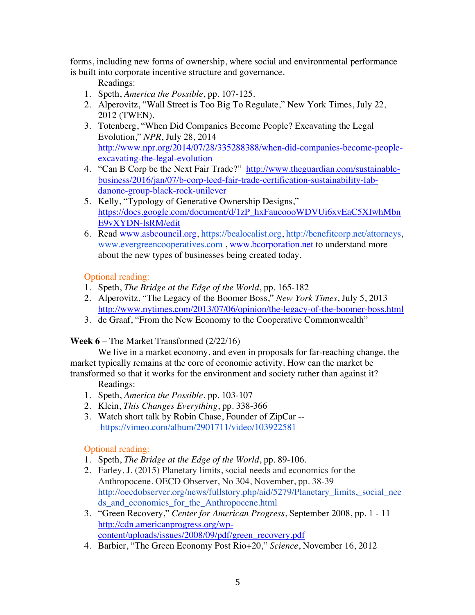forms, including new forms of ownership, where social and environmental performance is built into corporate incentive structure and governance.

Readings:

- 1. Speth, *America the Possible*, pp. 107-125.
- 2. Alperovitz, "Wall Street is Too Big To Regulate," New York Times, July 22, 2012 (TWEN).
- 3. Totenberg, "When Did Companies Become People? Excavating the Legal Evolution," *NPR*, July 28, 2014 http://www.npr.org/2014/07/28/335288388/when-did-companies-become-peopleexcavating-the-legal-evolution
- 4. "Can B Corp be the Next Fair Trade?" http://www.theguardian.com/sustainablebusiness/2016/jan/07/b-corp-leed-fair-trade-certification-sustainability-labdanone-group-black-rock-unilever
- 5. Kelly, "Typology of Generative Ownership Designs," https://docs.google.com/document/d/1zP\_hxFaucoooWDVUi6xvEaC5XIwhMbn E9vXYDN-lsRM/edit
- 6. Read www.asbcouncil.org, https://bealocalist.org, http://benefitcorp.net/attorneys, www.evergreencooperatives.com , www.bcorporation.net to understand more about the new types of businesses being created today.

Optional reading:

- 1. Speth, *The Bridge at the Edge of the World*, pp. 165-182
- 2. Alperovitz, "The Legacy of the Boomer Boss," *New York Times*, July 5, 2013 http://www.nytimes.com/2013/07/06/opinion/the-legacy-of-the-boomer-boss.html
- 3. de Graaf, "From the New Economy to the Cooperative Commonwealth"

# **Week 6** – The Market Transformed (2/22/16)

We live in a market economy, and even in proposals for far-reaching change, the market typically remains at the core of economic activity. How can the market be transformed so that it works for the environment and society rather than against it?

## Readings:

- 1. Speth, *America the Possible*, pp. 103-107
- 2. Klein, *This Changes Everything*, pp. 338-366
- 3. Watch short talk by Robin Chase, Founder of ZipCar https://vimeo.com/album/2901711/video/103922581

- 1. Speth, *The Bridge at the Edge of the World*, pp. 89-106.
- 2. Farley, J. (2015) Planetary limits, social needs and economics for the Anthropocene. OECD Observer, No 304, November, pp. 38-39 http://oecdobserver.org/news/fullstory.php/aid/5279/Planetary\_limits,\_social\_nee ds\_and\_economics\_for\_the\_Anthropocene.html
- 3. "Green Recovery," *Center for American Progress*, September 2008, pp. 1 11 http://cdn.americanprogress.org/wpcontent/uploads/issues/2008/09/pdf/green\_recovery.pdf
- 4. Barbier, "The Green Economy Post Rio+20," *Science*, November 16, 2012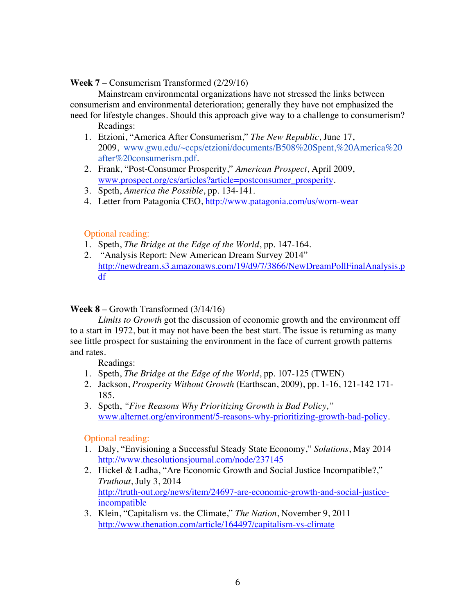#### **Week 7** – Consumerism Transformed (2/29/16)

Mainstream environmental organizations have not stressed the links between consumerism and environmental deterioration; generally they have not emphasized the need for lifestyle changes. Should this approach give way to a challenge to consumerism? Readings:

- 1. Etzioni, "America After Consumerism," *The New Republic*, June 17, 2009, www.gwu.edu/~ccps/etzioni/documents/B508%20Spent,%20America%20 after%20consumerism.pdf.
- 2. Frank, "Post-Consumer Prosperity," *American Prospect*, April 2009, www.prospect.org/cs/articles?article=postconsumer\_prosperity.
- 3. Speth, *America the Possible*, pp. 134-141.
- 4. Letter from Patagonia CEO, http://www.patagonia.com/us/worn-wear

#### Optional reading:

- 1. Speth, *The Bridge at the Edge of the World*, pp. 147-164.
- 2. "Analysis Report: New American Dream Survey 2014" http://newdream.s3.amazonaws.com/19/d9/7/3866/NewDreamPollFinalAnalysis.p df

#### **Week 8** – Growth Transformed (3/14/16)

*Limits to Growth* got the discussion of economic growth and the environment off to a start in 1972, but it may not have been the best start. The issue is returning as many see little prospect for sustaining the environment in the face of current growth patterns and rates.

Readings:

- 1. Speth, *The Bridge at the Edge of the World*, pp. 107-125 (TWEN)
- 2. Jackson, *Prosperity Without Growth* (Earthscan, 2009), pp. 1-16, 121-142 171- 185.
- 3. Speth, *"Five Reasons Why Prioritizing Growth is Bad Policy,"*  www.alternet.org/environment/5-reasons-why-prioritizing-growth-bad-policy.

- 1. Daly, "Envisioning a Successful Steady State Economy," *Solutions*, May 2014 http://www.thesolutionsjournal.com/node/237145
- 2. Hickel & Ladha, "Are Economic Growth and Social Justice Incompatible?," *Truthout*, July 3, 2014 http://truth-out.org/news/item/24697-are-economic-growth-and-social-justiceincompatible
- 3. Klein, "Capitalism vs. the Climate," *The Nation*, November 9, 2011 http://www.thenation.com/article/164497/capitalism-vs-climate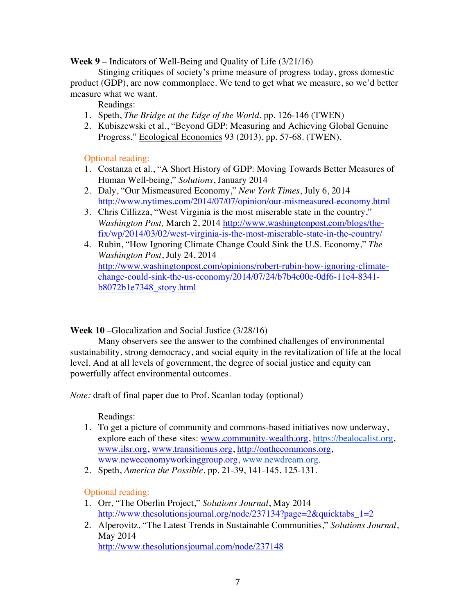**Week 9** – Indicators of Well-Being and Quality of Life (3/21/16)

Stinging critiques of society's prime measure of progress today, gross domestic product (GDP), are now commonplace. We tend to get what we measure, so we'd better measure what we want.

Readings:

- 1. Speth, *The Bridge at the Edge of the World*, pp. 126-146 (TWEN)
- 2. Kubiszewski et al., "Beyond GDP: Measuring and Achieving Global Genuine Progress," Ecological Economics 93 (2013), pp. 57-68. (TWEN).

Optional reading:

- 1. Costanza et al., "A Short History of GDP: Moving Towards Better Measures of Human Well-being," *Solutions*, January 2014
- 2. Daly, "Our Mismeasured Economy," *New York Times*, July 6, 2014 http://www.nytimes.com/2014/07/07/opinion/our-mismeasured-economy.html
- 3. Chris Cillizza, "West Virginia is the most miserable state in the country," *Washington Post,* March 2, 2014 http://www.washingtonpost.com/blogs/thefix/wp/2014/03/02/west-virginia-is-the-most-miserable-state-in-the-country/
- 4. Rubin, "How Ignoring Climate Change Could Sink the U.S. Economy," *The Washington Post*, July 24, 2014 http://www.washingtonpost.com/opinions/robert-rubin-how-ignoring-climatechange-could-sink-the-us-economy/2014/07/24/b7b4c00c-0df6-11e4-8341 b8072b1e7348\_story.html

**Week 10** –Glocalization and Social Justice (3/28/16)

Many observers see the answer to the combined challenges of environmental sustainability, strong democracy, and social equity in the revitalization of life at the local level. And at all levels of government, the degree of social justice and equity can powerfully affect environmental outcomes.

*Note:* draft of final paper due to Prof. Scanlan today (optional)

Readings:

- 1. To get a picture of community and commons-based initiatives now underway, explore each of these sites: www.community-wealth.org, https://bealocalist.org, www.ilsr.org, www.transitionus.org, http://onthecommons.org, www.neweconomyworkinggroup.org, www.newdream.org.
- 2. Speth, *America the Possible*, pp. 21-39, 141-145, 125-131.

- 1. Orr, "The Oberlin Project," *Solutions Journal*, May 2014 http://www.thesolutionsjournal.org/node/237134?page=2&quicktabs\_1=2
- 2. Alperovitz, "The Latest Trends in Sustainable Communities," *Solutions Journal*, May 2014 http://www.thesolutionsjournal.com/node/237148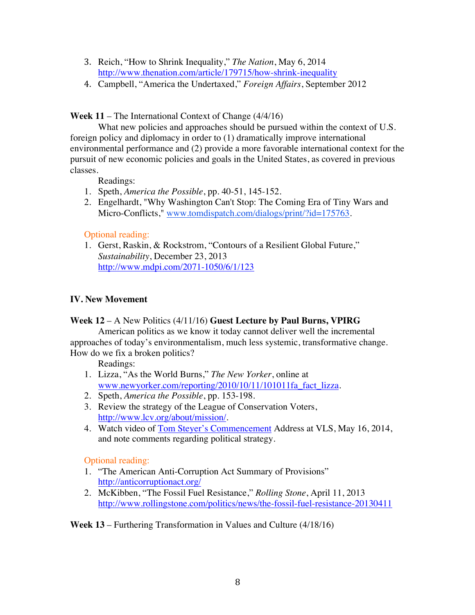- 3. Reich, "How to Shrink Inequality," *The Nation*, May 6, 2014 http://www.thenation.com/article/179715/how-shrink-inequality
- 4. Campbell, "America the Undertaxed," *Foreign Affairs*, September 2012

**Week 11** – The International Context of Change (4/4/16)

What new policies and approaches should be pursued within the context of U.S. foreign policy and diplomacy in order to (1) dramatically improve international environmental performance and (2) provide a more favorable international context for the pursuit of new economic policies and goals in the United States, as covered in previous classes.

Readings:

- 1. Speth, *America the Possible*, pp. 40-51, 145-152.
- 2. Engelhardt, "Why Washington Can't Stop: The Coming Era of Tiny Wars and Micro-Conflicts," www.tomdispatch.com/dialogs/print/?id=175763.

Optional reading:

1. Gerst, Raskin, & Rockstrom, "Contours of a Resilient Global Future," *Sustainability*, December 23, 2013 http://www.mdpi.com/2071-1050/6/1/123

### **IV. New Movement**

#### **Week 12** – A New Politics (4/11/16) **Guest Lecture by Paul Burns, VPIRG**

American politics as we know it today cannot deliver well the incremental approaches of today's environmentalism, much less systemic, transformative change. How do we fix a broken politics?

Readings:

- 1. Lizza, "As the World Burns," *The New Yorker*, online at www.newyorker.com/reporting/2010/10/11/101011fa\_fact\_lizza.
- 2. Speth, *America the Possible*, pp. 153-198.
- 3. Review the strategy of the League of Conservation Voters, http://www.lcv.org/about/mission/.
- 4. Watch video of Tom Steyer's Commencement Address at VLS, May 16, 2014, and note comments regarding political strategy.

Optional reading:

- 1. "The American Anti-Corruption Act Summary of Provisions" http://anticorruptionact.org/
- 2. McKibben, "The Fossil Fuel Resistance," *Rolling Stone*, April 11, 2013 http://www.rollingstone.com/politics/news/the-fossil-fuel-resistance-20130411

**Week 13** – Furthering Transformation in Values and Culture (4/18/16)